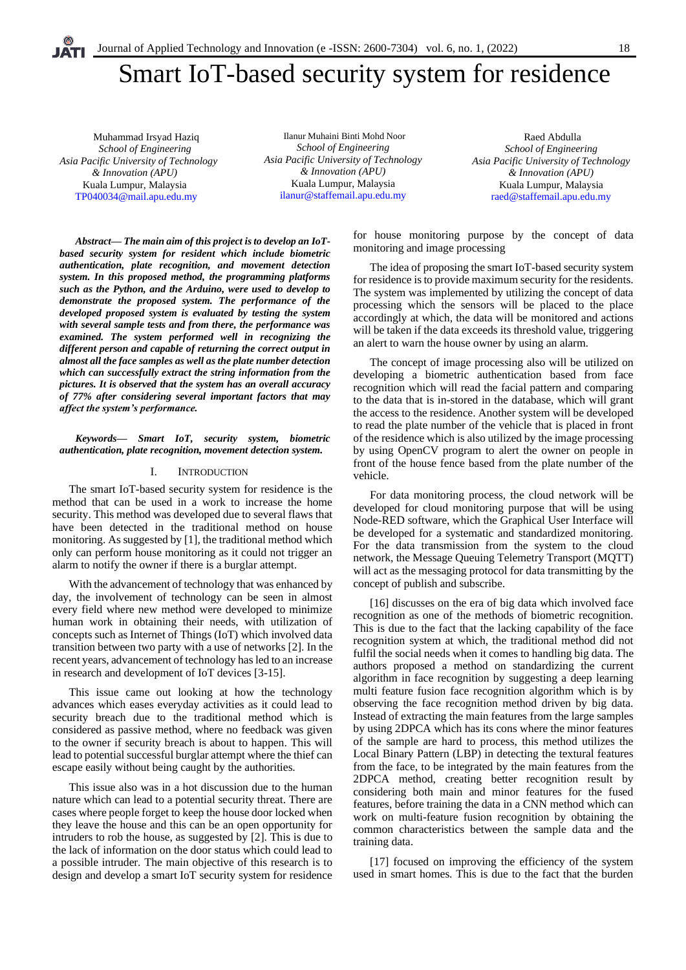# Smart IoT-based security system for residence

 Muhammad Irsyad Haziq *School of Engineering Asia Pacific University of Technology & Innovation (APU)* Kuala Lumpur, Malaysia [TP040034@mail.apu.edu.my](mailto:%20TP040034@mail.apu.edu.my)

Ilanur Muhaini Binti Mohd Noor *School of Engineering Asia Pacific University of Technology & Innovation (APU)* Kuala Lumpur, Malaysia [ilanur@staffemail.apu.edu.my](mailto:yee.san@staffemail.apu.edu.my)

Raed Abdulla *School of Engineering Asia Pacific University of Technology & Innovation (APU)* Kuala Lumpur, Malaysia [raed@staffemail.apu.edu.my](mailto:raed@staffemail.apu.edu.my)

*Abstract— The main aim of this project is to develop an IoTbased security system for resident which include biometric authentication, plate recognition, and movement detection system. In this proposed method, the programming platforms such as the Python, and the Arduino, were used to develop to demonstrate the proposed system. The performance of the developed proposed system is evaluated by testing the system with several sample tests and from there, the performance was examined. The system performed well in recognizing the different person and capable of returning the correct output in almost all the face samples as well as the plate number detection which can successfully extract the string information from the pictures. It is observed that the system has an overall accuracy of 77% after considering several important factors that may affect the system's performance.*

#### *Keywords— Smart IoT, security system, biometric authentication, plate recognition, movement detection system.*

## I. INTRODUCTION

The smart IoT-based security system for residence is the method that can be used in a work to increase the home security. This method was developed due to several flaws that have been detected in the traditional method on house monitoring. As suggested by [1], the traditional method which only can perform house monitoring as it could not trigger an alarm to notify the owner if there is a burglar attempt.

With the advancement of technology that was enhanced by day, the involvement of technology can be seen in almost every field where new method were developed to minimize human work in obtaining their needs, with utilization of concepts such as Internet of Things (IoT) which involved data transition between two party with a use of networks [2]. In the recent years, advancement of technology has led to an increase in research and development of IoT devices [3-15].

This issue came out looking at how the technology advances which eases everyday activities as it could lead to security breach due to the traditional method which is considered as passive method, where no feedback was given to the owner if security breach is about to happen. This will lead to potential successful burglar attempt where the thief can escape easily without being caught by the authorities.

This issue also was in a hot discussion due to the human nature which can lead to a potential security threat. There are cases where people forget to keep the house door locked when they leave the house and this can be an open opportunity for intruders to rob the house, as suggested by [2]. This is due to the lack of information on the door status which could lead to a possible intruder. The main objective of this research is to design and develop a smart IoT security system for residence

for house monitoring purpose by the concept of data monitoring and image processing

The idea of proposing the smart IoT-based security system for residence is to provide maximum security for the residents. The system was implemented by utilizing the concept of data processing which the sensors will be placed to the place accordingly at which, the data will be monitored and actions will be taken if the data exceeds its threshold value, triggering an alert to warn the house owner by using an alarm.

The concept of image processing also will be utilized on developing a biometric authentication based from face recognition which will read the facial pattern and comparing to the data that is in-stored in the database, which will grant the access to the residence. Another system will be developed to read the plate number of the vehicle that is placed in front of the residence which is also utilized by the image processing by using OpenCV program to alert the owner on people in front of the house fence based from the plate number of the vehicle.

For data monitoring process, the cloud network will be developed for cloud monitoring purpose that will be using Node-RED software, which the Graphical User Interface will be developed for a systematic and standardized monitoring. For the data transmission from the system to the cloud network, the Message Queuing Telemetry Transport (MQTT) will act as the messaging protocol for data transmitting by the concept of publish and subscribe.

[16] discusses on the era of big data which involved face recognition as one of the methods of biometric recognition. This is due to the fact that the lacking capability of the face recognition system at which, the traditional method did not fulfil the social needs when it comes to handling big data. The authors proposed a method on standardizing the current algorithm in face recognition by suggesting a deep learning multi feature fusion face recognition algorithm which is by observing the face recognition method driven by big data. Instead of extracting the main features from the large samples by using 2DPCA which has its cons where the minor features of the sample are hard to process, this method utilizes the Local Binary Pattern (LBP) in detecting the textural features from the face, to be integrated by the main features from the 2DPCA method, creating better recognition result by considering both main and minor features for the fused features, before training the data in a CNN method which can work on multi-feature fusion recognition by obtaining the common characteristics between the sample data and the training data.

[17] focused on improving the efficiency of the system used in smart homes. This is due to the fact that the burden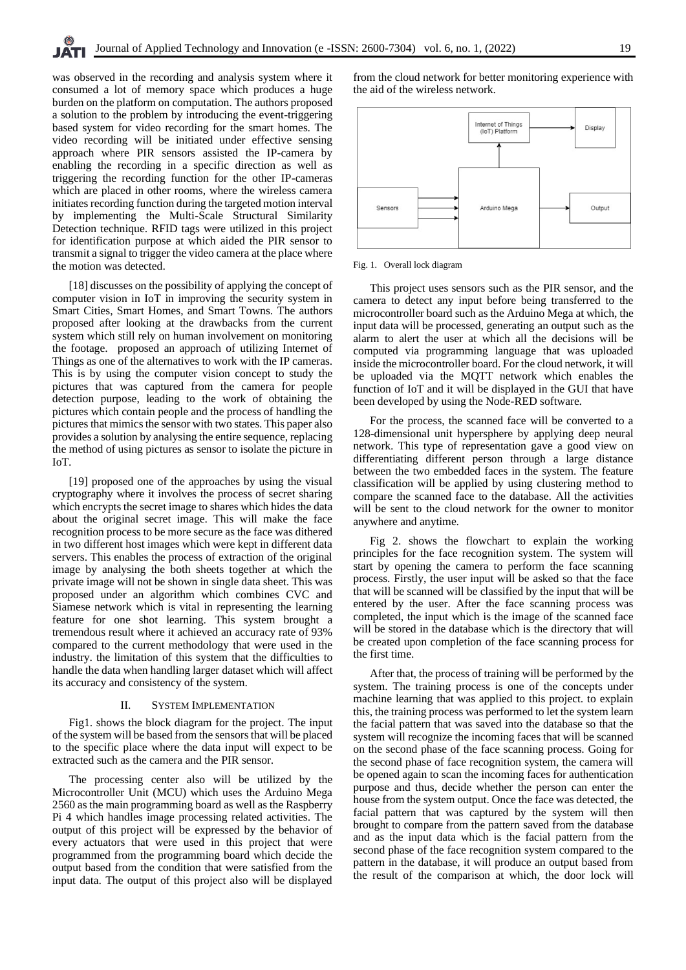was observed in the recording and analysis system where it consumed a lot of memory space which produces a huge burden on the platform on computation. The authors proposed a solution to the problem by introducing the event-triggering based system for video recording for the smart homes. The video recording will be initiated under effective sensing approach where PIR sensors assisted the IP-camera by enabling the recording in a specific direction as well as triggering the recording function for the other IP-cameras which are placed in other rooms, where the wireless camera initiates recording function during the targeted motion interval by implementing the Multi-Scale Structural Similarity Detection technique. RFID tags were utilized in this project for identification purpose at which aided the PIR sensor to transmit a signal to trigger the video camera at the place where the motion was detected.

[18] discusses on the possibility of applying the concept of computer vision in IoT in improving the security system in Smart Cities, Smart Homes, and Smart Towns. The authors proposed after looking at the drawbacks from the current system which still rely on human involvement on monitoring the footage. proposed an approach of utilizing Internet of Things as one of the alternatives to work with the IP cameras. This is by using the computer vision concept to study the pictures that was captured from the camera for people detection purpose, leading to the work of obtaining the pictures which contain people and the process of handling the pictures that mimics the sensor with two states. This paper also provides a solution by analysing the entire sequence, replacing the method of using pictures as sensor to isolate the picture in IoT.

[19] proposed one of the approaches by using the visual cryptography where it involves the process of secret sharing which encrypts the secret image to shares which hides the data about the original secret image. This will make the face recognition process to be more secure as the face was dithered in two different host images which were kept in different data servers. This enables the process of extraction of the original image by analysing the both sheets together at which the private image will not be shown in single data sheet. This was proposed under an algorithm which combines CVC and Siamese network which is vital in representing the learning feature for one shot learning. This system brought a tremendous result where it achieved an accuracy rate of 93% compared to the current methodology that were used in the industry. the limitation of this system that the difficulties to handle the data when handling larger dataset which will affect its accuracy and consistency of the system.

#### II. SYSTEM IMPLEMENTATION

Fig1. shows the block diagram for the project. The input of the system will be based from the sensors that will be placed to the specific place where the data input will expect to be extracted such as the camera and the PIR sensor.

The processing center also will be utilized by the Microcontroller Unit (MCU) which uses the Arduino Mega 2560 as the main programming board as well as the Raspberry Pi 4 which handles image processing related activities. The output of this project will be expressed by the behavior of every actuators that were used in this project that were programmed from the programming board which decide the output based from the condition that were satisfied from the input data. The output of this project also will be displayed from the cloud network for better monitoring experience with the aid of the wireless network.



#### Fig. 1. Overall lock diagram

This project uses sensors such as the PIR sensor, and the camera to detect any input before being transferred to the microcontroller board such as the Arduino Mega at which, the input data will be processed, generating an output such as the alarm to alert the user at which all the decisions will be computed via programming language that was uploaded inside the microcontroller board. For the cloud network, it will be uploaded via the MQTT network which enables the function of IoT and it will be displayed in the GUI that have been developed by using the Node-RED software.

For the process, the scanned face will be converted to a 128-dimensional unit hypersphere by applying deep neural network. This type of representation gave a good view on differentiating different person through a large distance between the two embedded faces in the system. The feature classification will be applied by using clustering method to compare the scanned face to the database. All the activities will be sent to the cloud network for the owner to monitor anywhere and anytime.

Fig 2. shows the flowchart to explain the working principles for the face recognition system. The system will start by opening the camera to perform the face scanning process. Firstly, the user input will be asked so that the face that will be scanned will be classified by the input that will be entered by the user. After the face scanning process was completed, the input which is the image of the scanned face will be stored in the database which is the directory that will be created upon completion of the face scanning process for the first time.

After that, the process of training will be performed by the system. The training process is one of the concepts under machine learning that was applied to this project. to explain this, the training process was performed to let the system learn the facial pattern that was saved into the database so that the system will recognize the incoming faces that will be scanned on the second phase of the face scanning process. Going for the second phase of face recognition system, the camera will be opened again to scan the incoming faces for authentication purpose and thus, decide whether the person can enter the house from the system output. Once the face was detected, the facial pattern that was captured by the system will then brought to compare from the pattern saved from the database and as the input data which is the facial pattern from the second phase of the face recognition system compared to the pattern in the database, it will produce an output based from the result of the comparison at which, the door lock will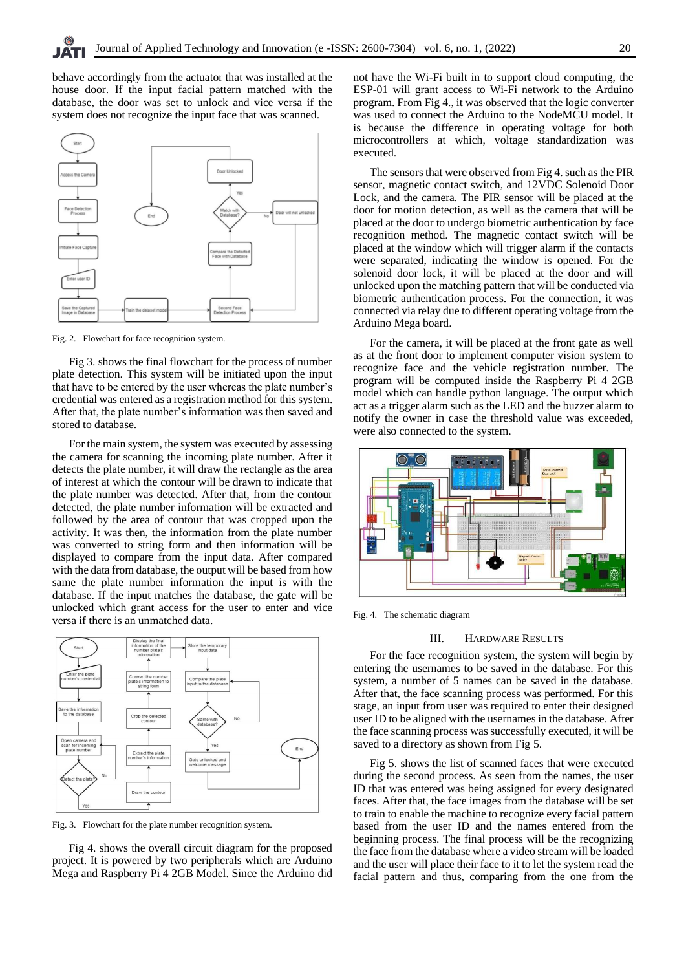behave accordingly from the actuator that was installed at the house door. If the input facial pattern matched with the database, the door was set to unlock and vice versa if the system does not recognize the input face that was scanned.



Fig. 2. Flowchart for face recognition system.

Fig 3. shows the final flowchart for the process of number plate detection. This system will be initiated upon the input that have to be entered by the user whereas the plate number's credential was entered as a registration method for this system. After that, the plate number's information was then saved and stored to database.

For the main system, the system was executed by assessing the camera for scanning the incoming plate number. After it detects the plate number, it will draw the rectangle as the area of interest at which the contour will be drawn to indicate that the plate number was detected. After that, from the contour detected, the plate number information will be extracted and followed by the area of contour that was cropped upon the activity. It was then, the information from the plate number was converted to string form and then information will be displayed to compare from the input data. After compared with the data from database, the output will be based from how same the plate number information the input is with the database. If the input matches the database, the gate will be unlocked which grant access for the user to enter and vice versa if there is an unmatched data.



Fig. 3. Flowchart for the plate number recognition system.

Fig 4. shows the overall circuit diagram for the proposed project. It is powered by two peripherals which are Arduino Mega and Raspberry Pi 4 2GB Model. Since the Arduino did not have the Wi-Fi built in to support cloud computing, the ESP-01 will grant access to Wi-Fi network to the Arduino program. From Fig 4., it was observed that the logic converter was used to connect the Arduino to the NodeMCU model. It is because the difference in operating voltage for both microcontrollers at which, voltage standardization was executed.

The sensors that were observed from Fig 4. such as the PIR sensor, magnetic contact switch, and 12VDC Solenoid Door Lock, and the camera. The PIR sensor will be placed at the door for motion detection, as well as the camera that will be placed at the door to undergo biometric authentication by face recognition method. The magnetic contact switch will be placed at the window which will trigger alarm if the contacts were separated, indicating the window is opened. For the solenoid door lock, it will be placed at the door and will unlocked upon the matching pattern that will be conducted via biometric authentication process. For the connection, it was connected via relay due to different operating voltage from the Arduino Mega board.

For the camera, it will be placed at the front gate as well as at the front door to implement computer vision system to recognize face and the vehicle registration number. The program will be computed inside the Raspberry Pi 4 2GB model which can handle python language. The output which act as a trigger alarm such as the LED and the buzzer alarm to notify the owner in case the threshold value was exceeded, were also connected to the system.



Fig. 4. The schematic diagram

# III. HARDWARE RESULTS

For the face recognition system, the system will begin by entering the usernames to be saved in the database. For this system, a number of 5 names can be saved in the database. After that, the face scanning process was performed. For this stage, an input from user was required to enter their designed user ID to be aligned with the usernames in the database. After the face scanning process was successfully executed, it will be saved to a directory as shown from Fig 5.

Fig 5. shows the list of scanned faces that were executed during the second process. As seen from the names, the user ID that was entered was being assigned for every designated faces. After that, the face images from the database will be set to train to enable the machine to recognize every facial pattern based from the user ID and the names entered from the beginning process. The final process will be the recognizing the face from the database where a video stream will be loaded and the user will place their face to it to let the system read the facial pattern and thus, comparing from the one from the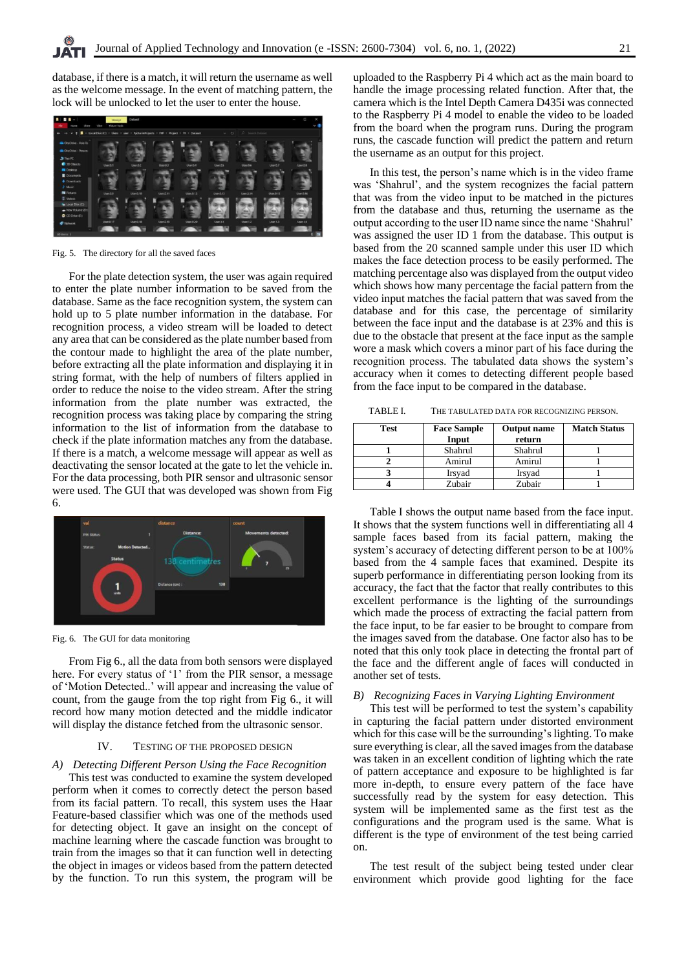database, if there is a match, it will return the username as well as the welcome message. In the event of matching pattern, the lock will be unlocked to let the user to enter the house.



Fig. 5. The directory for all the saved faces

For the plate detection system, the user was again required to enter the plate number information to be saved from the database. Same as the face recognition system, the system can hold up to 5 plate number information in the database. For recognition process, a video stream will be loaded to detect any area that can be considered as the plate number based from the contour made to highlight the area of the plate number, before extracting all the plate information and displaying it in string format, with the help of numbers of filters applied in order to reduce the noise to the video stream. After the string information from the plate number was extracted, the recognition process was taking place by comparing the string information to the list of information from the database to check if the plate information matches any from the database. If there is a match, a welcome message will appear as well as deactivating the sensor located at the gate to let the vehicle in. For the data processing, both PIR sensor and ultrasonic sensor were used. The GUI that was developed was shown from Fig 6.



Fig. 6. The GUI for data monitoring

From Fig 6., all the data from both sensors were displayed here. For every status of '1' from the PIR sensor, a message of 'Motion Detected..' will appear and increasing the value of count, from the gauge from the top right from Fig 6., it will record how many motion detected and the middle indicator will display the distance fetched from the ultrasonic sensor.

#### IV. TESTING OF THE PROPOSED DESIGN

# *A) Detecting Different Person Using the Face Recognition*

This test was conducted to examine the system developed perform when it comes to correctly detect the person based from its facial pattern. To recall, this system uses the Haar Feature-based classifier which was one of the methods used for detecting object. It gave an insight on the concept of machine learning where the cascade function was brought to train from the images so that it can function well in detecting the object in images or videos based from the pattern detected by the function. To run this system, the program will be uploaded to the Raspberry Pi 4 which act as the main board to handle the image processing related function. After that, the camera which is the Intel Depth Camera D435i was connected to the Raspberry Pi 4 model to enable the video to be loaded from the board when the program runs. During the program runs, the cascade function will predict the pattern and return the username as an output for this project.

In this test, the person's name which is in the video frame was 'Shahrul', and the system recognizes the facial pattern that was from the video input to be matched in the pictures from the database and thus, returning the username as the output according to the user ID name since the name 'Shahrul' was assigned the user ID 1 from the database. This output is based from the 20 scanned sample under this user ID which makes the face detection process to be easily performed. The matching percentage also was displayed from the output video which shows how many percentage the facial pattern from the video input matches the facial pattern that was saved from the database and for this case, the percentage of similarity between the face input and the database is at 23% and this is due to the obstacle that present at the face input as the sample wore a mask which covers a minor part of his face during the recognition process. The tabulated data shows the system's accuracy when it comes to detecting different people based from the face input to be compared in the database.

TABLE I. THE TABULATED DATA FOR RECOGNIZING PERSON.

| Test | <b>Face Sample</b><br>Input | <b>Output</b> name<br>return | <b>Match Status</b> |
|------|-----------------------------|------------------------------|---------------------|
|      | Shahrul                     | Shahrul                      |                     |
|      | Amirul                      | Amirul                       |                     |
|      | Irsvad                      | Irsyad                       |                     |
|      | Zubair                      | Zubair                       |                     |

Table I shows the output name based from the face input. It shows that the system functions well in differentiating all 4 sample faces based from its facial pattern, making the system's accuracy of detecting different person to be at 100% based from the 4 sample faces that examined. Despite its superb performance in differentiating person looking from its accuracy, the fact that the factor that really contributes to this excellent performance is the lighting of the surroundings which made the process of extracting the facial pattern from the face input, to be far easier to be brought to compare from the images saved from the database. One factor also has to be noted that this only took place in detecting the frontal part of the face and the different angle of faces will conducted in another set of tests.

#### *B) Recognizing Faces in Varying Lighting Environment*

This test will be performed to test the system's capability in capturing the facial pattern under distorted environment which for this case will be the surrounding's lighting. To make sure everything is clear, all the saved images from the database was taken in an excellent condition of lighting which the rate of pattern acceptance and exposure to be highlighted is far more in-depth, to ensure every pattern of the face have successfully read by the system for easy detection. This system will be implemented same as the first test as the configurations and the program used is the same. What is different is the type of environment of the test being carried on.

The test result of the subject being tested under clear environment which provide good lighting for the face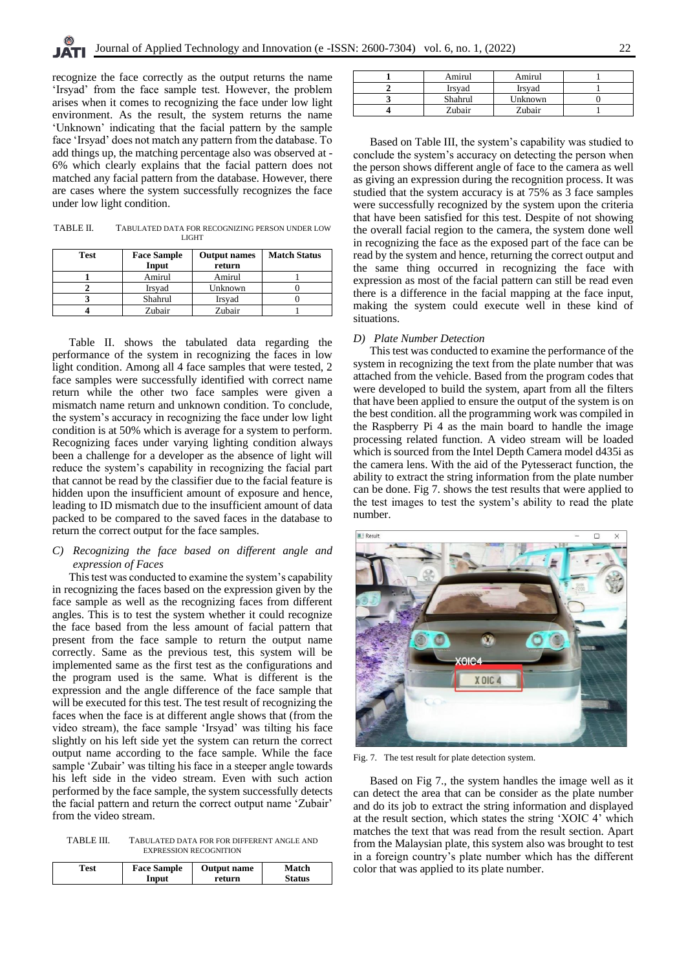recognize the face correctly as the output returns the name 'Irsyad' from the face sample test. However, the problem arises when it comes to recognizing the face under low light environment. As the result, the system returns the name 'Unknown' indicating that the facial pattern by the sample face 'Irsyad' does not match any pattern from the database. To add things up, the matching percentage also was observed at - 6% which clearly explains that the facial pattern does not matched any facial pattern from the database. However, there are cases where the system successfully recognizes the face under low light condition.

| TABLE II. | TABULATED DATA FOR RECOGNIZING PERSON UNDER LOW |
|-----------|-------------------------------------------------|
|           | <b>LIGHT</b>                                    |

| <b>Test</b> | <b>Face Sample</b> | <b>Output names</b> | <b>Match Status</b> |
|-------------|--------------------|---------------------|---------------------|
|             | Input              | return              |                     |
|             | Amirul             | Amirul              |                     |
|             | Irsyad             | Unknown             |                     |
|             | Shahrul            | Irsyad              |                     |
|             | Zubair             | Zubair              |                     |

Table II. shows the tabulated data regarding the performance of the system in recognizing the faces in low light condition. Among all 4 face samples that were tested, 2 face samples were successfully identified with correct name return while the other two face samples were given a mismatch name return and unknown condition. To conclude, the system's accuracy in recognizing the face under low light condition is at 50% which is average for a system to perform. Recognizing faces under varying lighting condition always been a challenge for a developer as the absence of light will reduce the system's capability in recognizing the facial part that cannot be read by the classifier due to the facial feature is hidden upon the insufficient amount of exposure and hence, leading to ID mismatch due to the insufficient amount of data packed to be compared to the saved faces in the database to return the correct output for the face samples.

# *C) Recognizing the face based on different angle and expression of Faces*

This test was conducted to examine the system's capability in recognizing the faces based on the expression given by the face sample as well as the recognizing faces from different angles. This is to test the system whether it could recognize the face based from the less amount of facial pattern that present from the face sample to return the output name correctly. Same as the previous test, this system will be implemented same as the first test as the configurations and the program used is the same. What is different is the expression and the angle difference of the face sample that will be executed for this test. The test result of recognizing the faces when the face is at different angle shows that (from the video stream), the face sample 'Irsyad' was tilting his face slightly on his left side yet the system can return the correct output name according to the face sample. While the face sample 'Zubair' was tilting his face in a steeper angle towards his left side in the video stream. Even with such action performed by the face sample, the system successfully detects the facial pattern and return the correct output name 'Zubair' from the video stream.

TABLE III. TABULATED DATA FOR FOR DIFFERENT ANGLE AND EXPRESSION RECOGNITION

| Test | <b>Face Sample</b> | <b>Output name</b> | Match  |
|------|--------------------|--------------------|--------|
|      |                    |                    |        |
|      | Input              | return             | Status |
|      |                    |                    |        |

| Amirul  | Amirul  |  |
|---------|---------|--|
| Irsvad  | Irsvad  |  |
| Shahrul | Unknown |  |
| Zubair  | Zubair  |  |

Based on Table III, the system's capability was studied to conclude the system's accuracy on detecting the person when the person shows different angle of face to the camera as well as giving an expression during the recognition process. It was studied that the system accuracy is at 75% as 3 face samples were successfully recognized by the system upon the criteria that have been satisfied for this test. Despite of not showing the overall facial region to the camera, the system done well in recognizing the face as the exposed part of the face can be read by the system and hence, returning the correct output and the same thing occurred in recognizing the face with expression as most of the facial pattern can still be read even there is a difference in the facial mapping at the face input, making the system could execute well in these kind of situations.

#### *D) Plate Number Detection*

This test was conducted to examine the performance of the system in recognizing the text from the plate number that was attached from the vehicle. Based from the program codes that were developed to build the system, apart from all the filters that have been applied to ensure the output of the system is on the best condition. all the programming work was compiled in the Raspberry Pi 4 as the main board to handle the image processing related function. A video stream will be loaded which is sourced from the Intel Depth Camera model d435i as the camera lens. With the aid of the Pytesseract function, the ability to extract the string information from the plate number can be done. Fig 7. shows the test results that were applied to the test images to test the system's ability to read the plate number.

**B** L Recult X OIC 4

Fig. 7. The test result for plate detection system.

Based on Fig 7., the system handles the image well as it can detect the area that can be consider as the plate number and do its job to extract the string information and displayed at the result section, which states the string 'XOIC 4' which matches the text that was read from the result section. Apart from the Malaysian plate, this system also was brought to test in a foreign country's plate number which has the different color that was applied to its plate number.